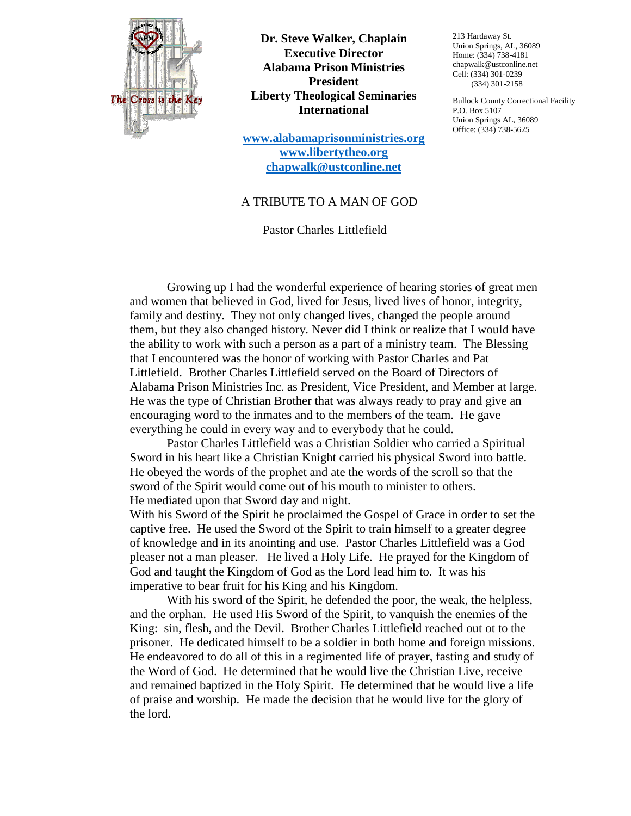

**Dr. Steve Walker, Chaplain Executive Director Alabama Prison Ministries President Liberty Theological Seminaries International**

**[www.alabamaprisonministries.org](http://www.alabamaprisonministries.org/) [www.libertytheo.org](http://www.libertytheo.org/) [chapwalk@ustconline.net](mailto:chapwalk@ustconline.net)**

213 Hardaway St. Union Springs, AL, 36089 Home: (334) 738-4181 chapwalk@ustconline.net Cell: (334) 301-0239 (334) 301-2158

Bullock County Correctional Facility P.O. Box 5107 Union Springs AL, 36089 Office: (334) 738-5625

## A TRIBUTE TO A MAN OF GOD

Pastor Charles Littlefield

Growing up I had the wonderful experience of hearing stories of great men and women that believed in God, lived for Jesus, lived lives of honor, integrity, family and destiny. They not only changed lives, changed the people around them, but they also changed history. Never did I think or realize that I would have the ability to work with such a person as a part of a ministry team. The Blessing that I encountered was the honor of working with Pastor Charles and Pat Littlefield. Brother Charles Littlefield served on the Board of Directors of Alabama Prison Ministries Inc. as President, Vice President, and Member at large. He was the type of Christian Brother that was always ready to pray and give an encouraging word to the inmates and to the members of the team. He gave everything he could in every way and to everybody that he could.

Pastor Charles Littlefield was a Christian Soldier who carried a Spiritual Sword in his heart like a Christian Knight carried his physical Sword into battle. He obeyed the words of the prophet and ate the words of the scroll so that the sword of the Spirit would come out of his mouth to minister to others. He mediated upon that Sword day and night.

With his Sword of the Spirit he proclaimed the Gospel of Grace in order to set the captive free. He used the Sword of the Spirit to train himself to a greater degree of knowledge and in its anointing and use. Pastor Charles Littlefield was a God pleaser not a man pleaser. He lived a Holy Life. He prayed for the Kingdom of God and taught the Kingdom of God as the Lord lead him to. It was his imperative to bear fruit for his King and his Kingdom.

With his sword of the Spirit, he defended the poor, the weak, the helpless, and the orphan. He used His Sword of the Spirit, to vanquish the enemies of the King: sin, flesh, and the Devil. Brother Charles Littlefield reached out ot to the prisoner. He dedicated himself to be a soldier in both home and foreign missions. He endeavored to do all of this in a regimented life of prayer, fasting and study of the Word of God. He determined that he would live the Christian Live, receive and remained baptized in the Holy Spirit. He determined that he would live a life of praise and worship. He made the decision that he would live for the glory of the lord.